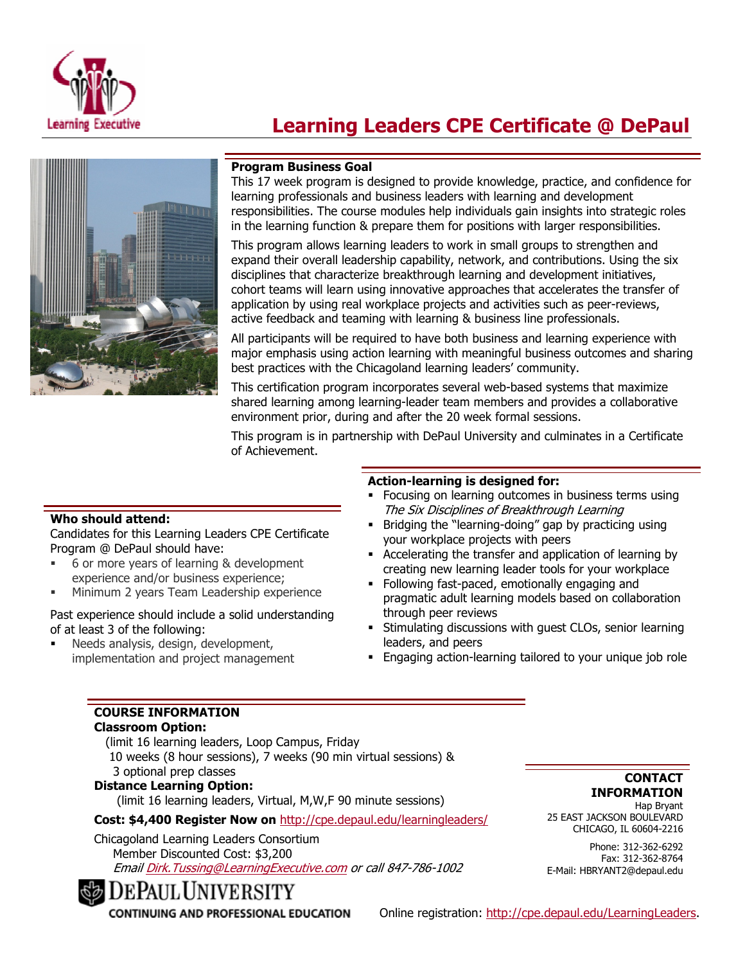



# Program Business Goal

This 17 week program is designed to provide knowledge, practice, and confidence for learning professionals and business leaders with learning and development learning professionals and business leaders with learning and development<br>responsibilities. The course modules help individuals gain insights into strategic roles in the learning the learning function & prepare them for positions with larger responsibilities.

This program allows learning leaders to work in small groups to strengthen and expand their overall leadership capability, network, and contributions. Using the six This program allows learning leaders to work in small groups to strengthen and<br>expand their overall leadership capability, network, and contributions. Using the<br>disciplines that characterize breakthrough learning and devel cohort teams will learn using innovative approaches that accelerates the transfer of application by using real workplace projects and activities such as peer active feedback and teaming with learning & business line professionals. will learn using innovative approaches that accelerates the<br>using real workplace projects and activities such as peer-r<br>ck and teaming with learning & business line professionals. n & prepare them for positions with larger responsibilities.<br>
rearning leaders to work in small groups to strengthen and<br>
readership capability, network, and contributions. Using the<br>
terize breakthrough learning and devel

All participants will be required to have both business and learning experience with major emphasis using action learning with meaningful business outcomes and sharing<br>best practices with the Chicagoland learning leaders' community. best practices with the Chicagoland learning leaders' community. h learning & business line professionals.<br>o have both business and learning exper<br>rning with meaningful business outcome<br>and learning leaders' community.

This certification program incorporates several web-based systems that maximize This certification program incorporates several web-based systems that maximize<br>shared learning among learning-leader team members and provides a collaborative environment prior, during and after the 20 week formal sessions.

This program is in partnership with DePaul University and culminates in a Certificate of Achievement.

# Who should attend:

Candidates for this Learning Leaders CPE Certificate Program @ DePaul should have:

- 6 or more years of learning & development experience and/or business experience;
- Minimum 2 years Team Leadership experience

Past experience should include a solid understanding of at least 3 of the following:

 Needs analysis, design, development, implementation and project management

#### Action-learning is designed for: learning

- **Focusing on learning outcomes in business terms using** The Six Disciplines of Breakthrough Learning Disciplines
- Bridging the "learning-doing" gap by practicing using your workplace projects with peers
- Accelerating the transfer and application of learning by creating new learning leader tools for your workplace
- Following fast-paced, emotionally engaging and Following fast-paced, emotionally engaging and<br>pragmatic adult learning models based on collaboration through peer reviews
- Stimulating discussions with guest CLOs, senior learning leaders, and peers Stimulating discussions with guest CLOs, senior learning<br>leaders, and peers<br>Engaging action-learning tailored to your unique job role
- 

# COURSE INFORMATION

Classroom Option: (limit 16 learning leaders, Loop Campus, Friday 10 weeks (8 hour sessions), 7 weeks (90 min virtual sessions) & 3 optional prep classes Distance Learning Option: (limit 16 learning leaders, Virtual, M,W,F 90 minute sessions) 10 weeks (8 hour sessions), 7 weeks (90 min virtual sessions) &<br>3 optional prep classes<br>**Distance Learning Option:**<br>(limit 16 learning leaders, Virtual, M,W,F 90 minute sessions)<br>**Cost: \$4,400 Register Now on** <u>http://cpe.</u> 6 or more years of learning & development<br>experience and/or business experience;<br>Minimum 2 years Team Leadership experience<br>cerverience should include a solid understanding<br>t least 3 of the following:<br>Needs analysis, desig

#### Chicagoland Learning Leaders Consorti Chicagoland Consortium Member Discounted Cost: \$3,200 Email Dirk.Tussing@LearningExecutive.com Dirk.Tussing@LearningExecutive.com or call 847-786-1002

**DEPAUL UNIVERSITY** CONTINUING AND PROFESSIONAL EDUCATION

# **CONTACT** INFORMATION

25 EAST JACKSON BOULEVARD Hap Bryant CHICAGO, IL 60604-2216

E-Mail: HBRYANT2@depaul.edu Mail: Phone: 312-362-6292 Fax: 312-362-8764